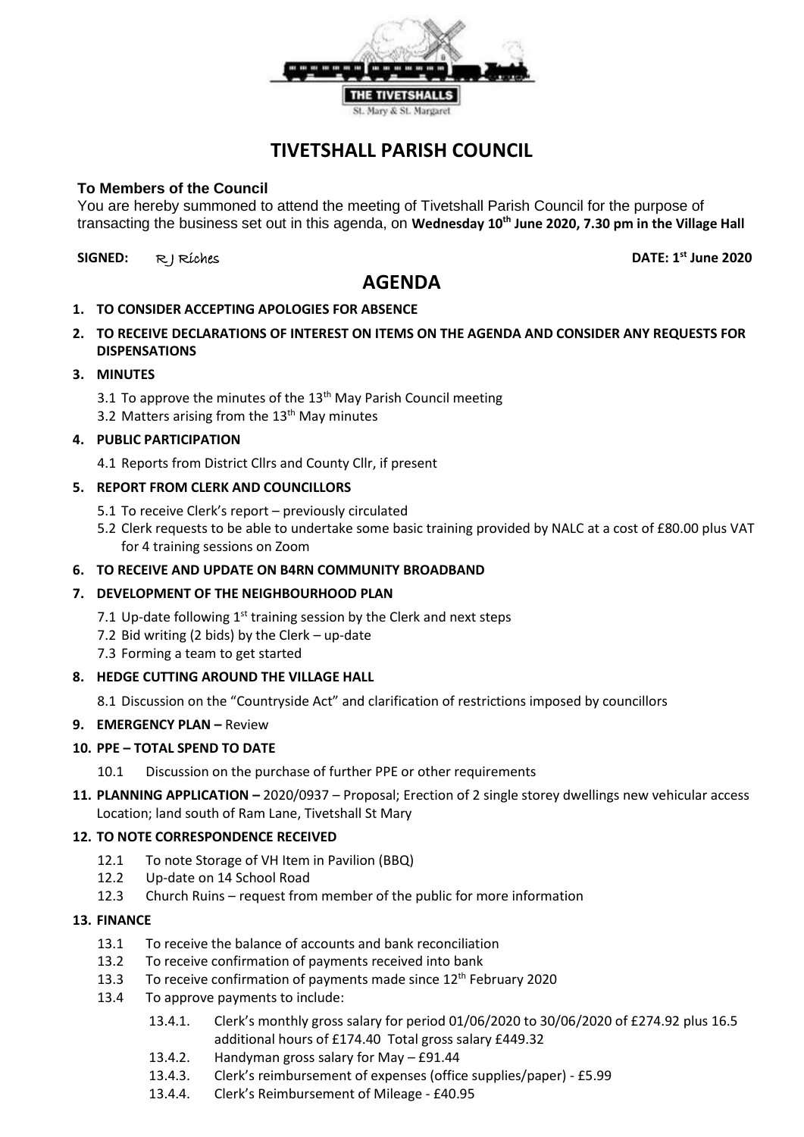

# **TIVETSHALL PARISH COUNCIL**

## **To Members of the Council**

You are hereby summoned to attend the meeting of Tivetshall Parish Council for the purpose of transacting the business set out in this agenda, on **Wednesday 10th June 2020, 7.30 pm in the Village Hall**

## **SIGNED:** R J Riches **DATE: 1st June 2020**

## **AGENDA**

- **1. TO CONSIDER ACCEPTING APOLOGIES FOR ABSENCE**
- **2. TO RECEIVE DECLARATIONS OF INTEREST ON ITEMS ON THE AGENDA AND CONSIDER ANY REQUESTS FOR DISPENSATIONS**

#### **3. MINUTES**

- 3.1 To approve the minutes of the 13<sup>th</sup> May Parish Council meeting
- 3.2 Matters arising from the  $13<sup>th</sup>$  May minutes

## **4. PUBLIC PARTICIPATION**

4.1 Reports from District Cllrs and County Cllr, if present

## **5. REPORT FROM CLERK AND COUNCILLORS**

- 5.1 To receive Clerk's report previously circulated
- 5.2 Clerk requests to be able to undertake some basic training provided by NALC at a cost of £80.00 plus VAT for 4 training sessions on Zoom

## **6. TO RECEIVE AND UPDATE ON B4RN COMMUNITY BROADBAND**

## **7. DEVELOPMENT OF THE NEIGHBOURHOOD PLAN**

- 7.1 Up-date following  $1<sup>st</sup>$  training session by the Clerk and next steps
- 7.2 Bid writing (2 bids) by the Clerk up-date
- 7.3 Forming a team to get started

#### **8. HEDGE CUTTING AROUND THE VILLAGE HALL**

8.1 Discussion on the "Countryside Act" and clarification of restrictions imposed by councillors

#### **9. EMERGENCY PLAN - Review**

#### **10. PPE – TOTAL SPEND TO DATE**

- 10.1 Discussion on the purchase of further PPE or other requirements
- **11. PLANNING APPLICATION –** 2020/0937 Proposal; Erection of 2 single storey dwellings new vehicular access Location; land south of Ram Lane, Tivetshall St Mary

## **12. TO NOTE CORRESPONDENCE RECEIVED**

- 12.1 To note Storage of VH Item in Pavilion (BBQ)
- 12.2 Up-date on 14 School Road
- 12.3 Church Ruins request from member of the public for more information

#### **13. FINANCE**

- 13.1 To receive the balance of accounts and bank reconciliation
- 13.2 To receive confirmation of payments received into bank
- 13.3 To receive confirmation of payments made since  $12<sup>th</sup>$  February 2020
- 13.4 To approve payments to include:
	- 13.4.1. Clerk's monthly gross salary for period 01/06/2020 to 30/06/2020 of £274.92 plus 16.5 additional hours of £174.40 Total gross salary £449.32
	- 13.4.2. Handyman gross salary for May £91.44
	- 13.4.3. Clerk's reimbursement of expenses (office supplies/paper) £5.99
	- 13.4.4. Clerk's Reimbursement of Mileage £40.95